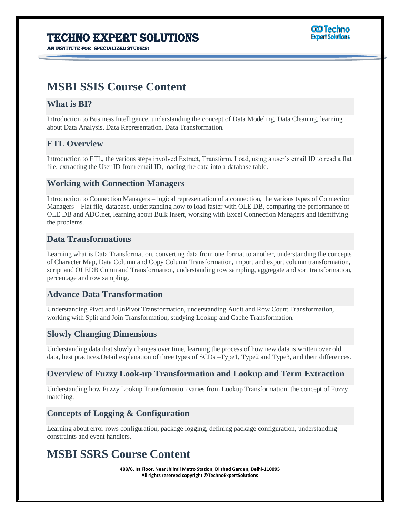AN INSTITUTE FOR SPECIALIZED STUDIES!



## **MSBI SSIS Course Content**

### **What is BI?**

Introduction to Business Intelligence, understanding the concept of Data Modeling, Data Cleaning, learning about Data Analysis, Data Representation, Data Transformation.

Ī

### **ETL Overview**

Introduction to ETL, the various steps involved Extract, Transform, Load, using a user's email ID to read a flat file, extracting the User ID from email ID, loading the data into a database table.

#### **Working with Connection Managers**

Introduction to Connection Managers – logical representation of a connection, the various types of Connection Managers – Flat file, database, understanding how to load faster with OLE DB, comparing the performance of OLE DB and ADO.net, learning about Bulk Insert, working with Excel Connection Managers and identifying the problems.

## **Data Transformations**

Learning what is Data Transformation, converting data from one format to another, understanding the concepts of Character Map, Data Column and Copy Column Transformation, import and export column transformation, script and OLEDB Command Transformation, understanding row sampling, aggregate and sort transformation, percentage and row sampling.

#### **Advance Data Transformation**

Understanding Pivot and UnPivot Transformation, understanding Audit and Row Count Transformation, working with Split and Join Transformation, studying Lookup and Cache Transformation.

#### **Slowly Changing Dimensions**

Understanding data that slowly changes over time, learning the process of how new data is written over old data, best practices.Detail explanation of three types of SCDs –Type1, Type2 and Type3, and their differences.

#### **Overview of Fuzzy Look-up Transformation and Lookup and Term Extraction**

Understanding how Fuzzy Lookup Transformation varies from Lookup Transformation, the concept of Fuzzy matching,

## **Concepts of Logging & Configuration**

Learning about error rows configuration, package logging, defining package configuration, understanding constraints and event handlers.

## **MSBI SSRS Course Content**

**488/6, Ist Floor, Near Jhilmil Metro Station, Dilshad Garden, Delhi-110095 All rights reserved copyright ©TechnoExpertSolutions**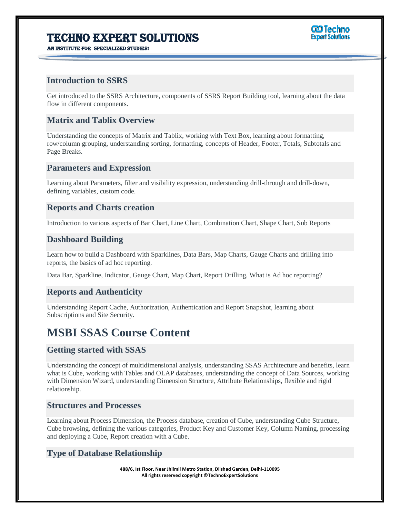

AN INSTITUTE FOR SPECIALIZED STUDIES!

## **Introduction to SSRS**

Get introduced to the SSRS Architecture, components of SSRS Report Building tool, learning about the data flow in different components.

Ī

### **Matrix and Tablix Overview**

Understanding the concepts of Matrix and Tablix, working with Text Box, learning about formatting, row/column grouping, understanding sorting, formatting, concepts of Header, Footer, Totals, Subtotals and Page Breaks.

#### **Parameters and Expression**

Learning about Parameters, filter and visibility expression, understanding drill-through and drill-down, defining variables, custom code.

### **Reports and Charts creation**

Introduction to various aspects of Bar Chart, Line Chart, Combination Chart, Shape Chart, Sub Reports

#### **Dashboard Building**

Learn how to build a Dashboard with Sparklines, Data Bars, Map Charts, Gauge Charts and drilling into reports, the basics of ad hoc reporting.

Data Bar, Sparkline, Indicator, Gauge Chart, Map Chart, Report Drilling, What is Ad hoc reporting?

#### **Reports and Authenticity**

Understanding Report Cache, Authorization, Authentication and Report Snapshot, learning about Subscriptions and Site Security.

# **MSBI SSAS Course Content**

#### **Getting started with SSAS**

Understanding the concept of multidimensional analysis, understanding SSAS Architecture and benefits, learn what is Cube, working with Tables and OLAP databases, understanding the concept of Data Sources, working with Dimension Wizard, understanding Dimension Structure, Attribute Relationships, flexible and rigid relationship.

## **Structures and Processes**

Learning about Process Dimension, the Process database, creation of Cube, understanding Cube Structure, Cube browsing, defining the various categories, Product Key and Customer Key, Column Naming, processing and deploying a Cube, Report creation with a Cube.

## **Type of Database Relationship**

**488/6, Ist Floor, Near Jhilmil Metro Station, Dilshad Garden, Delhi-110095 All rights reserved copyright ©TechnoExpertSolutions**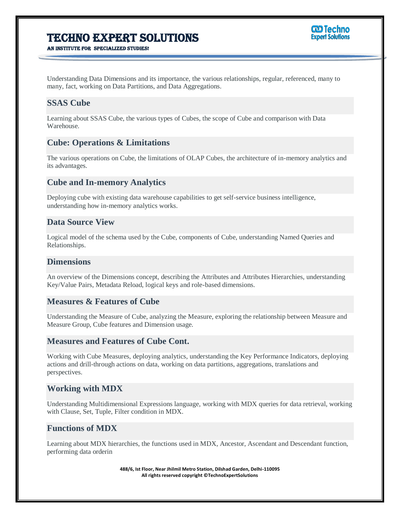AN INSTITUTE FOR SPECIALIZED STUDIES!

Understanding Data Dimensions and its importance, the various relationships, regular, referenced, many to many, fact, working on Data Partitions, and Data Aggregations.

Ī

## **SSAS Cube**

Learning about SSAS Cube, the various types of Cubes, the scope of Cube and comparison with Data Warehouse.

### **Cube: Operations & Limitations**

The various operations on Cube, the limitations of OLAP Cubes, the architecture of in-memory analytics and its advantages.

### **Cube and In-memory Analytics**

Deploying cube with existing data warehouse capabilities to get self-service business intelligence, understanding how in-memory analytics works.

#### **Data Source View**

Logical model of the schema used by the Cube, components of Cube, understanding Named Queries and Relationships.

#### **Dimensions**

An overview of the Dimensions concept, describing the Attributes and Attributes Hierarchies, understanding Key/Value Pairs, Metadata Reload, logical keys and role-based dimensions.

#### **Measures & Features of Cube**

Understanding the Measure of Cube, analyzing the Measure, exploring the relationship between Measure and Measure Group, Cube features and Dimension usage.

#### **Measures and Features of Cube Cont.**

Working with Cube Measures, deploying analytics, understanding the Key Performance Indicators, deploying actions and drill-through actions on data, working on data partitions, aggregations, translations and perspectives.

#### **Working with MDX**

Understanding Multidimensional Expressions language, working with MDX queries for data retrieval, working with Clause, Set, Tuple, Filter condition in MDX.

### **Functions of MDX**

Learning about MDX hierarchies, the functions used in MDX, Ancestor, Ascendant and Descendant function, performing data orderin

> **488/6, Ist Floor, Near Jhilmil Metro Station, Dilshad Garden, Delhi-110095 All rights reserved copyright ©TechnoExpertSolutions**